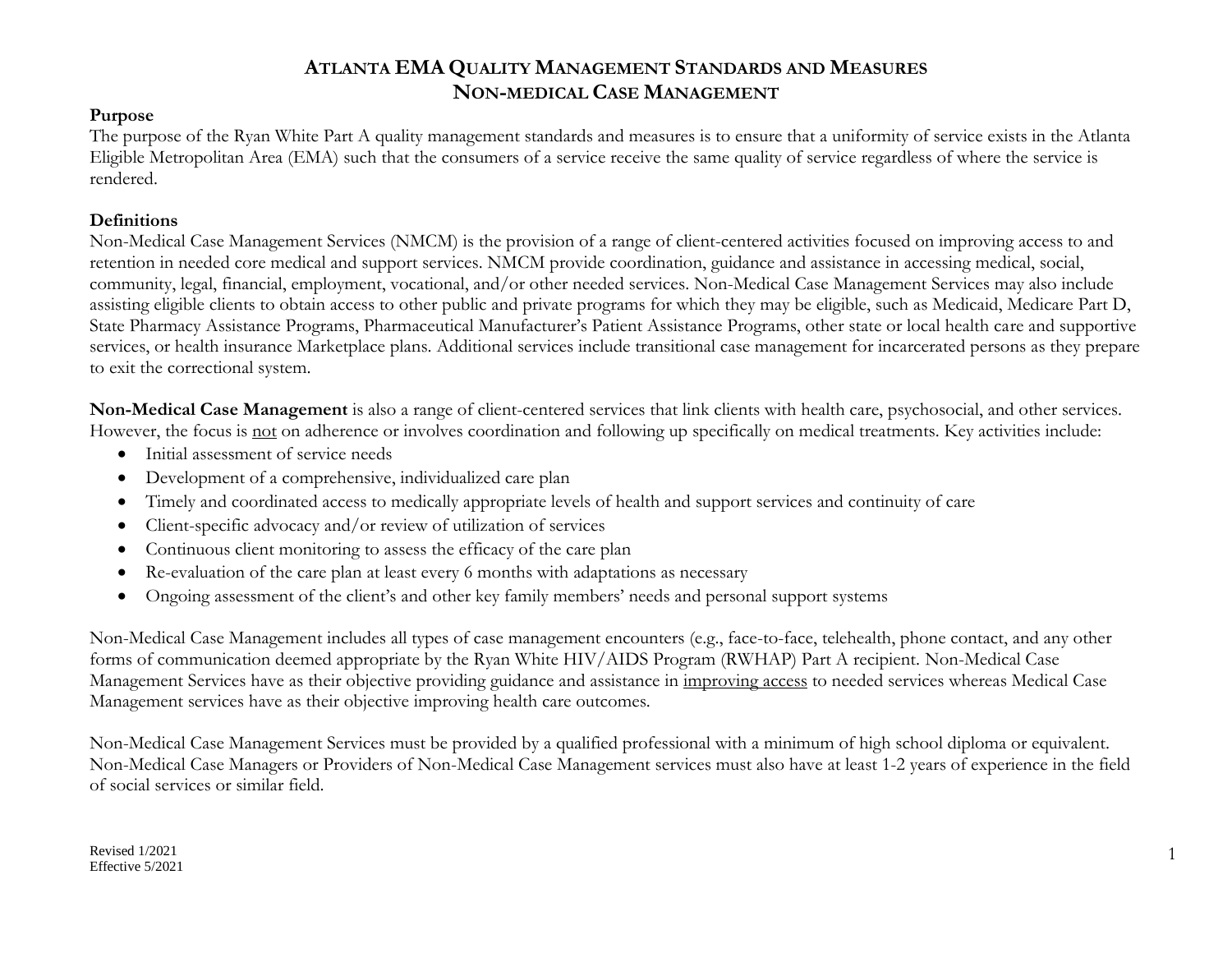### **Purpose**

The purpose of the Ryan White Part A quality management standards and measures is to ensure that a uniformity of service exists in the Atlanta Eligible Metropolitan Area (EMA) such that the consumers of a service receive the same quality of service regardless of where the service is rendered.

### **Definitions**

Non-Medical Case Management Services (NMCM) is the provision of a range of client-centered activities focused on improving access to and retention in needed core medical and support services. NMCM provide coordination, guidance and assistance in accessing medical, social, community, legal, financial, employment, vocational, and/or other needed services. Non-Medical Case Management Services may also include assisting eligible clients to obtain access to other public and private programs for which they may be eligible, such as Medicaid, Medicare Part D, State Pharmacy Assistance Programs, Pharmaceutical Manufacturer's Patient Assistance Programs, other state or local health care and supportive services, or health insurance Marketplace plans. Additional services include transitional case management for incarcerated persons as they prepare to exit the correctional system.

**Non-Medical Case Management** is also a range of client-centered services that link clients with health care, psychosocial, and other services. However, the focus is not on adherence or involves coordination and following up specifically on medical treatments. Key activities include:

- Initial assessment of service needs
- Development of a comprehensive, individualized care plan
- Timely and coordinated access to medically appropriate levels of health and support services and continuity of care
- Client-specific advocacy and/or review of utilization of services
- Continuous client monitoring to assess the efficacy of the care plan
- Re-evaluation of the care plan at least every 6 months with adaptations as necessary
- Ongoing assessment of the client's and other key family members' needs and personal support systems

Non-Medical Case Management includes all types of case management encounters (e.g., face-to-face, telehealth, phone contact, and any other forms of communication deemed appropriate by the Ryan White HIV/AIDS Program (RWHAP) Part A recipient. Non-Medical Case Management Services have as their objective providing guidance and assistance in improving access to needed services whereas Medical Case Management services have as their objective improving health care outcomes.

Non-Medical Case Management Services must be provided by a qualified professional with a minimum of high school diploma or equivalent. Non-Medical Case Managers or Providers of Non-Medical Case Management services must also have at least 1-2 years of experience in the field of social services or similar field.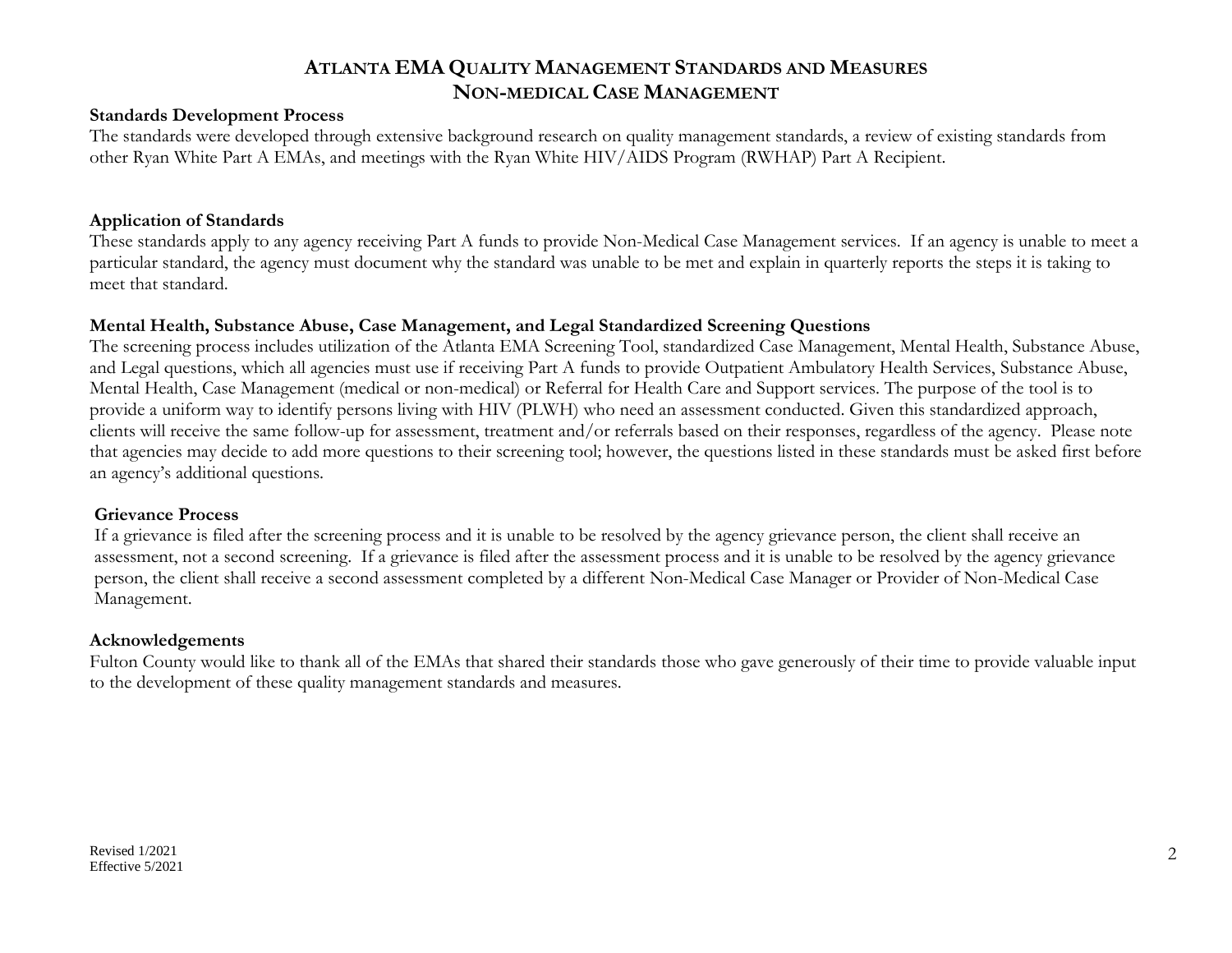### **Standards Development Process**

The standards were developed through extensive background research on quality management standards, a review of existing standards from other Ryan White Part A EMAs, and meetings with the Ryan White HIV/AIDS Program (RWHAP) Part A Recipient.

### **Application of Standards**

These standards apply to any agency receiving Part A funds to provide Non-Medical Case Management services. If an agency is unable to meet a particular standard, the agency must document why the standard was unable to be met and explain in quarterly reports the steps it is taking to meet that standard.

### **Mental Health, Substance Abuse, Case Management, and Legal Standardized Screening Questions**

The screening process includes utilization of the Atlanta EMA Screening Tool, standardized Case Management, Mental Health, Substance Abuse, and Legal questions, which all agencies must use if receiving Part A funds to provide Outpatient Ambulatory Health Services, Substance Abuse, Mental Health, Case Management (medical or non-medical) or Referral for Health Care and Support services. The purpose of the tool is to provide a uniform way to identify persons living with HIV (PLWH) who need an assessment conducted. Given this standardized approach, clients will receive the same follow-up for assessment, treatment and/or referrals based on their responses, regardless of the agency. Please note that agencies may decide to add more questions to their screening tool; however, the questions listed in these standards must be asked first before an agency's additional questions.

#### **Grievance Process**

If a grievance is filed after the screening process and it is unable to be resolved by the agency grievance person, the client shall receive an assessment, not a second screening. If a grievance is filed after the assessment process and it is unable to be resolved by the agency grievance person, the client shall receive a second assessment completed by a different Non-Medical Case Manager or Provider of Non-Medical Case Management.

#### **Acknowledgements**

Fulton County would like to thank all of the EMAs that shared their standards those who gave generously of their time to provide valuable input to the development of these quality management standards and measures.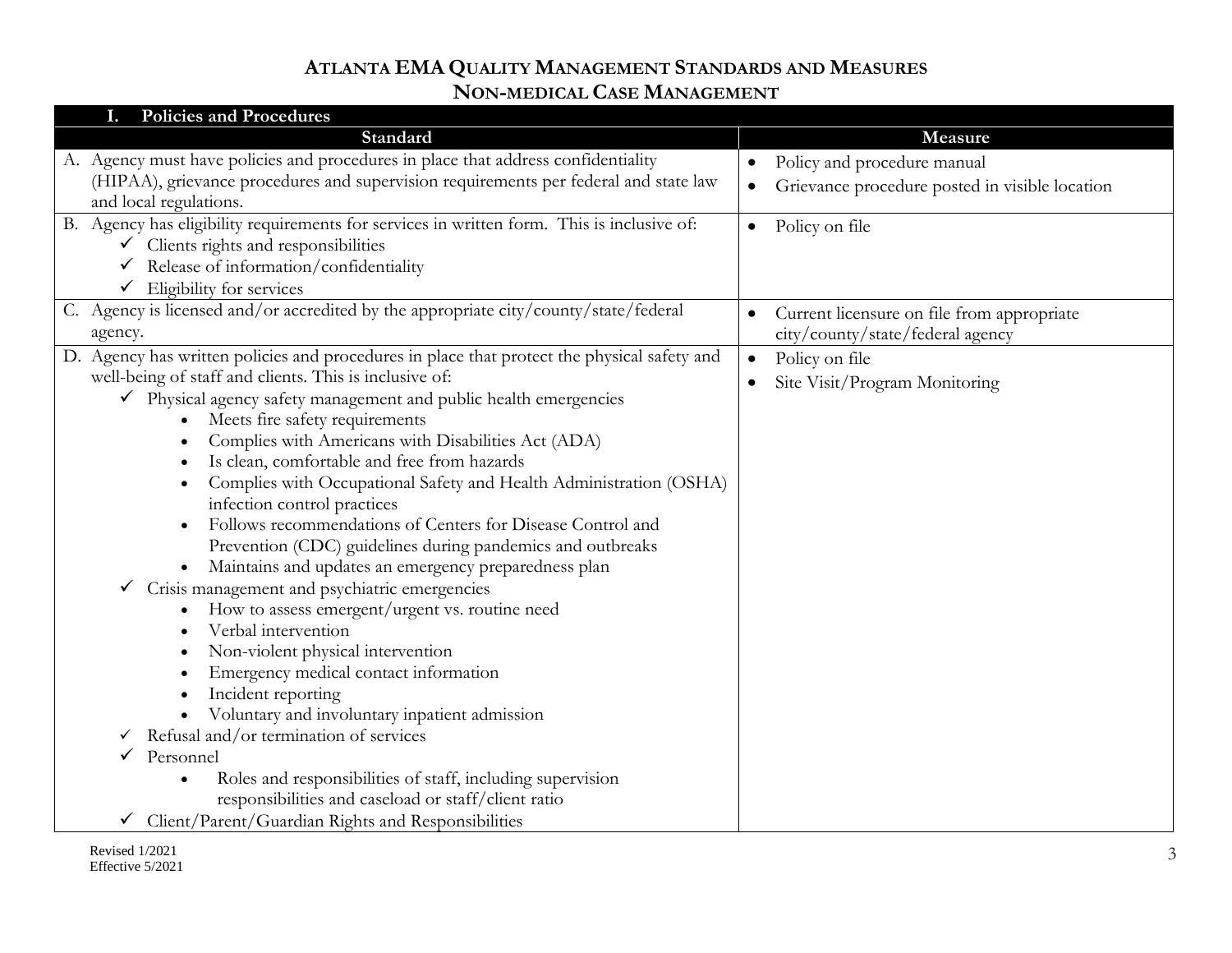| <b>Policies and Procedures</b>                                                              |                                                             |
|---------------------------------------------------------------------------------------------|-------------------------------------------------------------|
| Standard                                                                                    | Measure                                                     |
| A. Agency must have policies and procedures in place that address confidentiality           | Policy and procedure manual<br>$\bullet$                    |
| (HIPAA), grievance procedures and supervision requirements per federal and state law        | Grievance procedure posted in visible location<br>$\bullet$ |
| and local regulations.                                                                      |                                                             |
| B. Agency has eligibility requirements for services in written form. This is inclusive of:  | Policy on file<br>$\bullet$                                 |
| Clients rights and responsibilities                                                         |                                                             |
| Release of information/confidentiality                                                      |                                                             |
| Eligibility for services<br>$\checkmark$                                                    |                                                             |
| C. Agency is licensed and/or accredited by the appropriate city/county/state/federal        | Current licensure on file from appropriate<br>$\bullet$     |
| agency.                                                                                     | city/county/state/federal agency                            |
| D. Agency has written policies and procedures in place that protect the physical safety and | Policy on file<br>$\bullet$                                 |
| well-being of staff and clients. This is inclusive of:                                      | Site Visit/Program Monitoring<br>$\bullet$                  |
| Physical agency safety management and public health emergencies                             |                                                             |
| Meets fire safety requirements                                                              |                                                             |
| Complies with Americans with Disabilities Act (ADA)                                         |                                                             |
| Is clean, comfortable and free from hazards                                                 |                                                             |
| Complies with Occupational Safety and Health Administration (OSHA)                          |                                                             |
| infection control practices                                                                 |                                                             |
| Follows recommendations of Centers for Disease Control and                                  |                                                             |
| Prevention (CDC) guidelines during pandemics and outbreaks                                  |                                                             |
| Maintains and updates an emergency preparedness plan                                        |                                                             |
| Crisis management and psychiatric emergencies                                               |                                                             |
| How to assess emergent/urgent vs. routine need                                              |                                                             |
| Verbal intervention                                                                         |                                                             |
| Non-violent physical intervention                                                           |                                                             |
| Emergency medical contact information                                                       |                                                             |
| Incident reporting<br>Voluntary and involuntary inpatient admission                         |                                                             |
| Refusal and/or termination of services<br>$\checkmark$                                      |                                                             |
| Personnel                                                                                   |                                                             |
| Roles and responsibilities of staff, including supervision                                  |                                                             |
| responsibilities and caseload or staff/client ratio                                         |                                                             |
|                                                                                             |                                                             |
| Client/Parent/Guardian Rights and Responsibilities                                          |                                                             |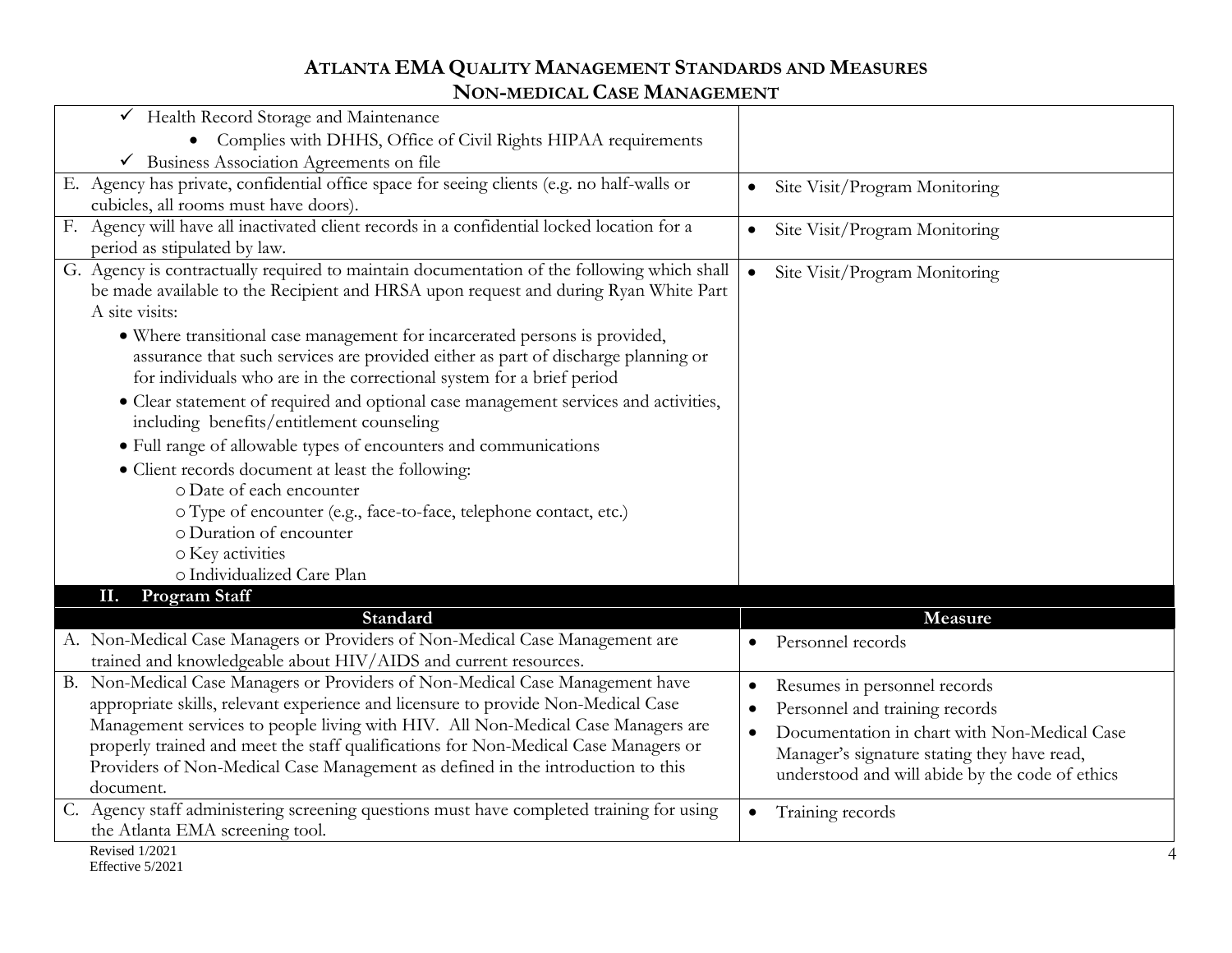| Health Record Storage and Maintenance                                                        |                                                           |
|----------------------------------------------------------------------------------------------|-----------------------------------------------------------|
| • Complies with DHHS, Office of Civil Rights HIPAA requirements                              |                                                           |
| $\checkmark$ Business Association Agreements on file                                         |                                                           |
| E. Agency has private, confidential office space for seeing clients (e.g. no half-walls or   | Site Visit/Program Monitoring<br>$\bullet$                |
| cubicles, all rooms must have doors).                                                        |                                                           |
| F. Agency will have all inactivated client records in a confidential locked location for a   | Site Visit/Program Monitoring<br>$\bullet$                |
| period as stipulated by law.                                                                 |                                                           |
| G. Agency is contractually required to maintain documentation of the following which shall   | Site Visit/Program Monitoring<br>$\bullet$                |
| be made available to the Recipient and HRSA upon request and during Ryan White Part          |                                                           |
| A site visits:                                                                               |                                                           |
| • Where transitional case management for incarcerated persons is provided,                   |                                                           |
| assurance that such services are provided either as part of discharge planning or            |                                                           |
| for individuals who are in the correctional system for a brief period                        |                                                           |
| • Clear statement of required and optional case management services and activities,          |                                                           |
| including benefits/entitlement counseling                                                    |                                                           |
| • Full range of allowable types of encounters and communications                             |                                                           |
| • Client records document at least the following:                                            |                                                           |
| o Date of each encounter                                                                     |                                                           |
| o Type of encounter (e.g., face-to-face, telephone contact, etc.)                            |                                                           |
| o Duration of encounter                                                                      |                                                           |
| o Key activities                                                                             |                                                           |
| o Individualized Care Plan                                                                   |                                                           |
| <b>Program Staff</b><br>П.                                                                   |                                                           |
| Standard                                                                                     | Measure                                                   |
| A. Non-Medical Case Managers or Providers of Non-Medical Case Management are                 | Personnel records<br>$\bullet$                            |
| trained and knowledgeable about HIV/AIDS and current resources.                              |                                                           |
| B. Non-Medical Case Managers or Providers of Non-Medical Case Management have                | Resumes in personnel records<br>$\bullet$                 |
| appropriate skills, relevant experience and licensure to provide Non-Medical Case            | Personnel and training records<br>$\bullet$               |
| Management services to people living with HIV. All Non-Medical Case Managers are             | Documentation in chart with Non-Medical Case<br>$\bullet$ |
| properly trained and meet the staff qualifications for Non-Medical Case Managers or          | Manager's signature stating they have read,               |
| Providers of Non-Medical Case Management as defined in the introduction to this<br>document. | understood and will abide by the code of ethics           |
| Agency staff administering screening questions must have completed training for using<br>C.  |                                                           |
| the Atlanta EMA screening tool.                                                              | Training records<br>$\bullet$                             |
| Revised 1/2021                                                                               |                                                           |
| Effective 5/2021                                                                             |                                                           |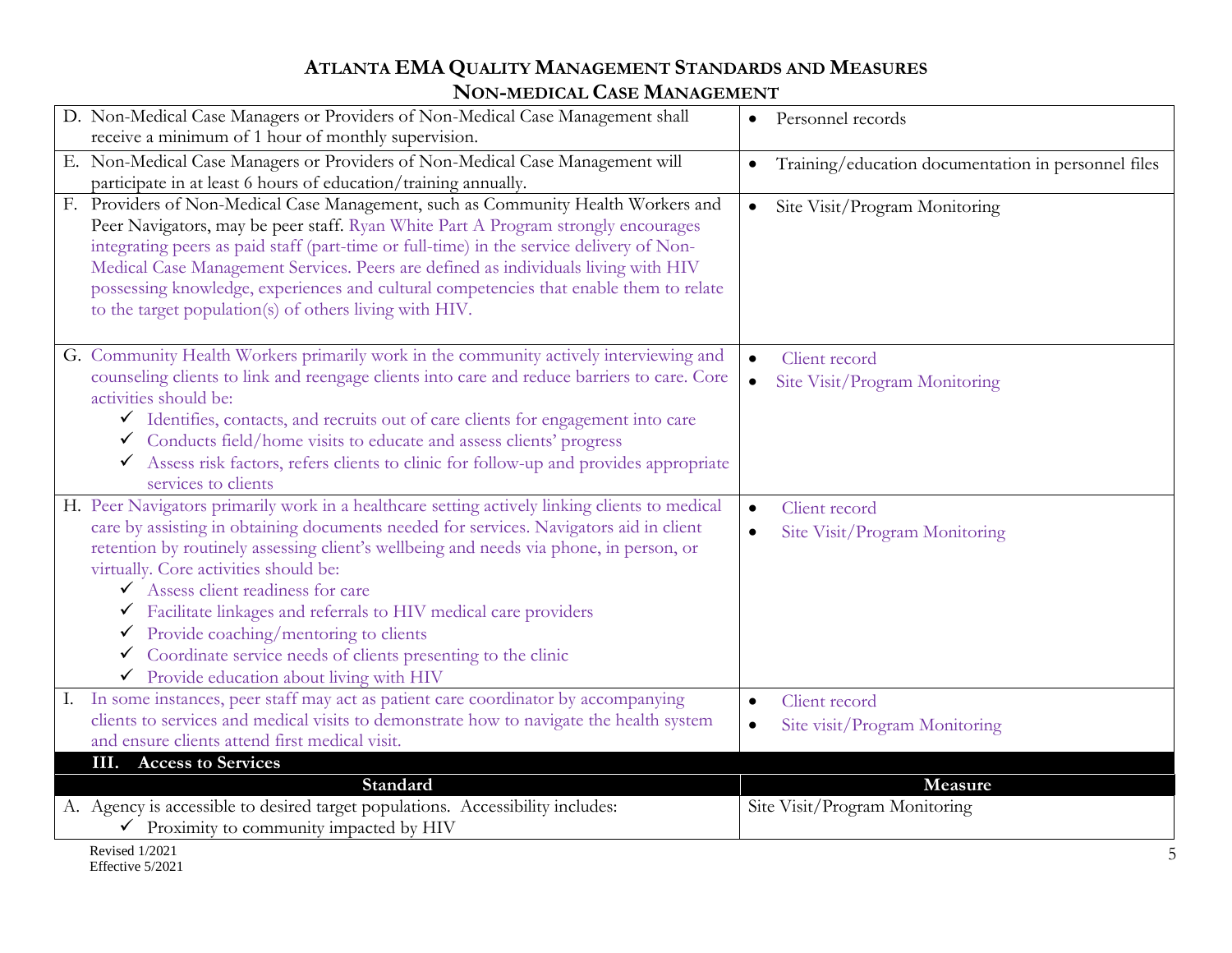| D. Non-Medical Case Managers or Providers of Non-Medical Case Management shall<br>receive a minimum of 1 hour of monthly supervision.                                                                                                                                                                                                                                                                                                                                                                                                                                                              | Personnel records<br>$\bullet$                                           |
|----------------------------------------------------------------------------------------------------------------------------------------------------------------------------------------------------------------------------------------------------------------------------------------------------------------------------------------------------------------------------------------------------------------------------------------------------------------------------------------------------------------------------------------------------------------------------------------------------|--------------------------------------------------------------------------|
| E. Non-Medical Case Managers or Providers of Non-Medical Case Management will<br>participate in at least 6 hours of education/training annually.                                                                                                                                                                                                                                                                                                                                                                                                                                                   | Training/education documentation in personnel files                      |
| F. Providers of Non-Medical Case Management, such as Community Health Workers and<br>Peer Navigators, may be peer staff. Ryan White Part A Program strongly encourages<br>integrating peers as paid staff (part-time or full-time) in the service delivery of Non-<br>Medical Case Management Services. Peers are defined as individuals living with HIV<br>possessing knowledge, experiences and cultural competencies that enable them to relate<br>to the target population(s) of others living with HIV.                                                                                       | Site Visit/Program Monitoring<br>$\bullet$                               |
| G. Community Health Workers primarily work in the community actively interviewing and<br>counseling clients to link and reengage clients into care and reduce barriers to care. Core<br>activities should be:<br>Ulentifies, contacts, and recruits out of care clients for engagement into care<br>✓ Conducts field/home visits to educate and assess clients' progress<br>◆ Assess risk factors, refers clients to clinic for follow-up and provides appropriate<br>services to clients                                                                                                          | Client record<br>Site Visit/Program Monitoring<br>$\bullet$              |
| H. Peer Navigators primarily work in a healthcare setting actively linking clients to medical<br>care by assisting in obtaining documents needed for services. Navigators aid in client<br>retention by routinely assessing client's wellbeing and needs via phone, in person, or<br>virtually. Core activities should be:<br>Assess client readiness for care<br>Facilitate linkages and referrals to HIV medical care providers<br>$\checkmark$ Provide coaching/mentoring to clients<br>Coordinate service needs of clients presenting to the clinic<br>Provide education about living with HIV | Client record<br>$\bullet$<br>Site Visit/Program Monitoring<br>$\bullet$ |
| In some instances, peer staff may act as patient care coordinator by accompanying<br>clients to services and medical visits to demonstrate how to navigate the health system<br>and ensure clients attend first medical visit.                                                                                                                                                                                                                                                                                                                                                                     | Client record<br>$\bullet$<br>Site visit/Program Monitoring              |
| <b>III.</b> Access to Services                                                                                                                                                                                                                                                                                                                                                                                                                                                                                                                                                                     |                                                                          |
| Standard                                                                                                                                                                                                                                                                                                                                                                                                                                                                                                                                                                                           | Measure                                                                  |
| A. Agency is accessible to desired target populations. Accessibility includes:<br>$\checkmark$ Proximity to community impacted by HIV                                                                                                                                                                                                                                                                                                                                                                                                                                                              | Site Visit/Program Monitoring                                            |
| Revised 1/2021                                                                                                                                                                                                                                                                                                                                                                                                                                                                                                                                                                                     |                                                                          |

Effective 5/2021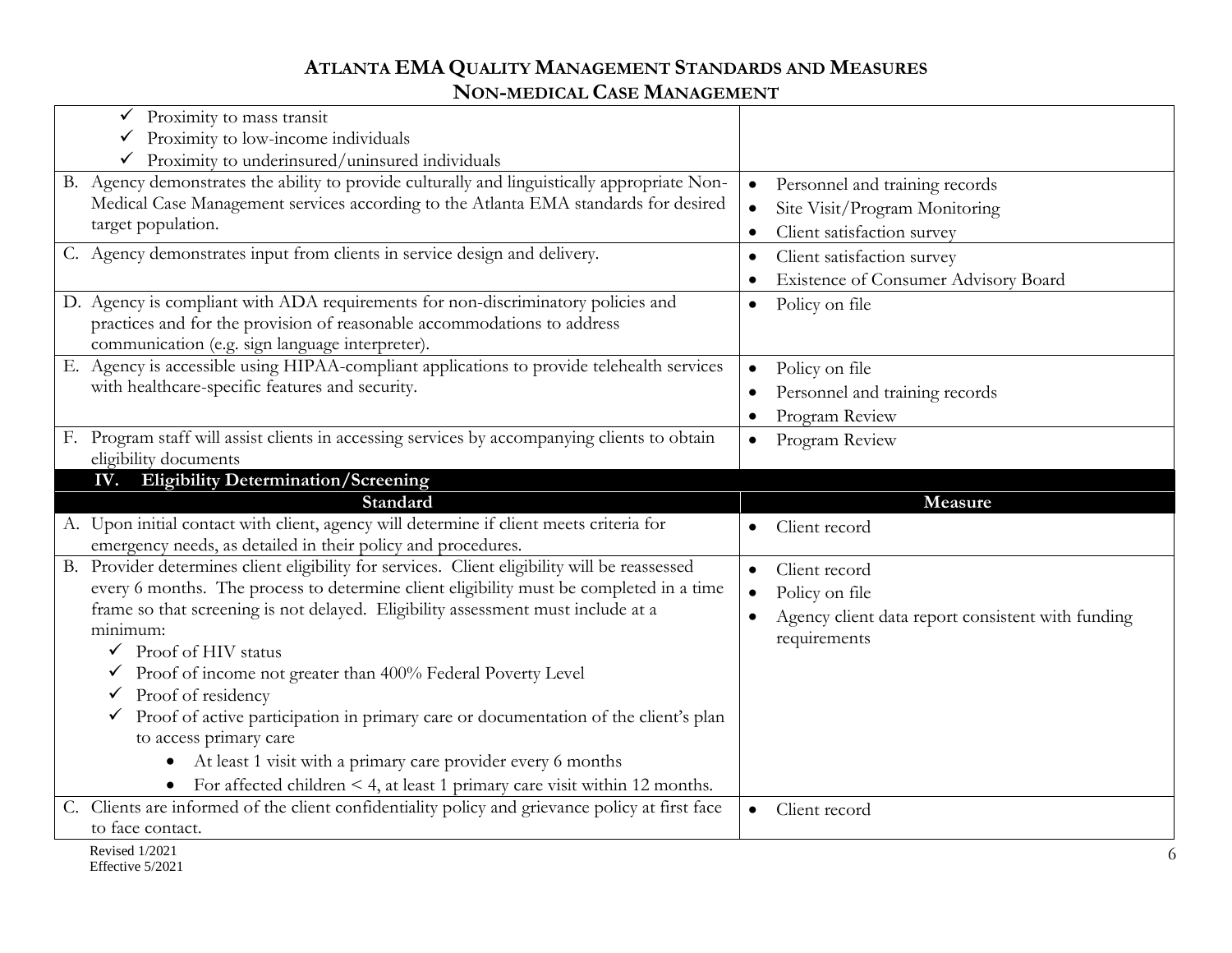| Proximity to mass transit                                                                                           |                                                   |
|---------------------------------------------------------------------------------------------------------------------|---------------------------------------------------|
| Proximity to low-income individuals                                                                                 |                                                   |
| Proximity to underinsured/uninsured individuals                                                                     |                                                   |
| B. Agency demonstrates the ability to provide culturally and linguistically appropriate Non-                        | Personnel and training records<br>$\bullet$       |
| Medical Case Management services according to the Atlanta EMA standards for desired                                 | Site Visit/Program Monitoring<br>$\bullet$        |
| target population.                                                                                                  | Client satisfaction survey<br>$\bullet$           |
| C. Agency demonstrates input from clients in service design and delivery.                                           | Client satisfaction survey                        |
|                                                                                                                     | Existence of Consumer Advisory Board              |
| D. Agency is compliant with ADA requirements for non-discriminatory policies and                                    | Policy on file<br>$\bullet$                       |
| practices and for the provision of reasonable accommodations to address                                             |                                                   |
| communication (e.g. sign language interpreter).                                                                     |                                                   |
| E. Agency is accessible using HIPAA-compliant applications to provide telehealth services                           | Policy on file<br>$\bullet$                       |
| with healthcare-specific features and security.                                                                     | Personnel and training records                    |
|                                                                                                                     | Program Review                                    |
| F. Program staff will assist clients in accessing services by accompanying clients to obtain                        | Program Review<br>$\bullet$                       |
| eligibility documents                                                                                               |                                                   |
|                                                                                                                     |                                                   |
| IV. Eligibility Determination/Screening                                                                             |                                                   |
| Standard                                                                                                            | Measure                                           |
| A. Upon initial contact with client, agency will determine if client meets criteria for                             | Client record                                     |
| emergency needs, as detailed in their policy and procedures.                                                        |                                                   |
| B. Provider determines client eligibility for services. Client eligibility will be reassessed                       | Client record<br>$\bullet$                        |
| every 6 months. The process to determine client eligibility must be completed in a time                             | Policy on file<br>$\bullet$                       |
| frame so that screening is not delayed. Eligibility assessment must include at a                                    | Agency client data report consistent with funding |
| minimum:                                                                                                            | requirements                                      |
| $\checkmark$ Proof of HIV status                                                                                    |                                                   |
| Proof of income not greater than 400% Federal Poverty Level                                                         |                                                   |
| Proof of residency                                                                                                  |                                                   |
| Proof of active participation in primary care or documentation of the client's plan<br>✓                            |                                                   |
| to access primary care                                                                                              |                                                   |
| At least 1 visit with a primary care provider every 6 months<br>$\bullet$                                           |                                                   |
| For affected children $\leq 4$ , at least 1 primary care visit within 12 months.                                    |                                                   |
| C. Clients are informed of the client confidentiality policy and grievance policy at first face<br>to face contact. | Client record<br>$\bullet$                        |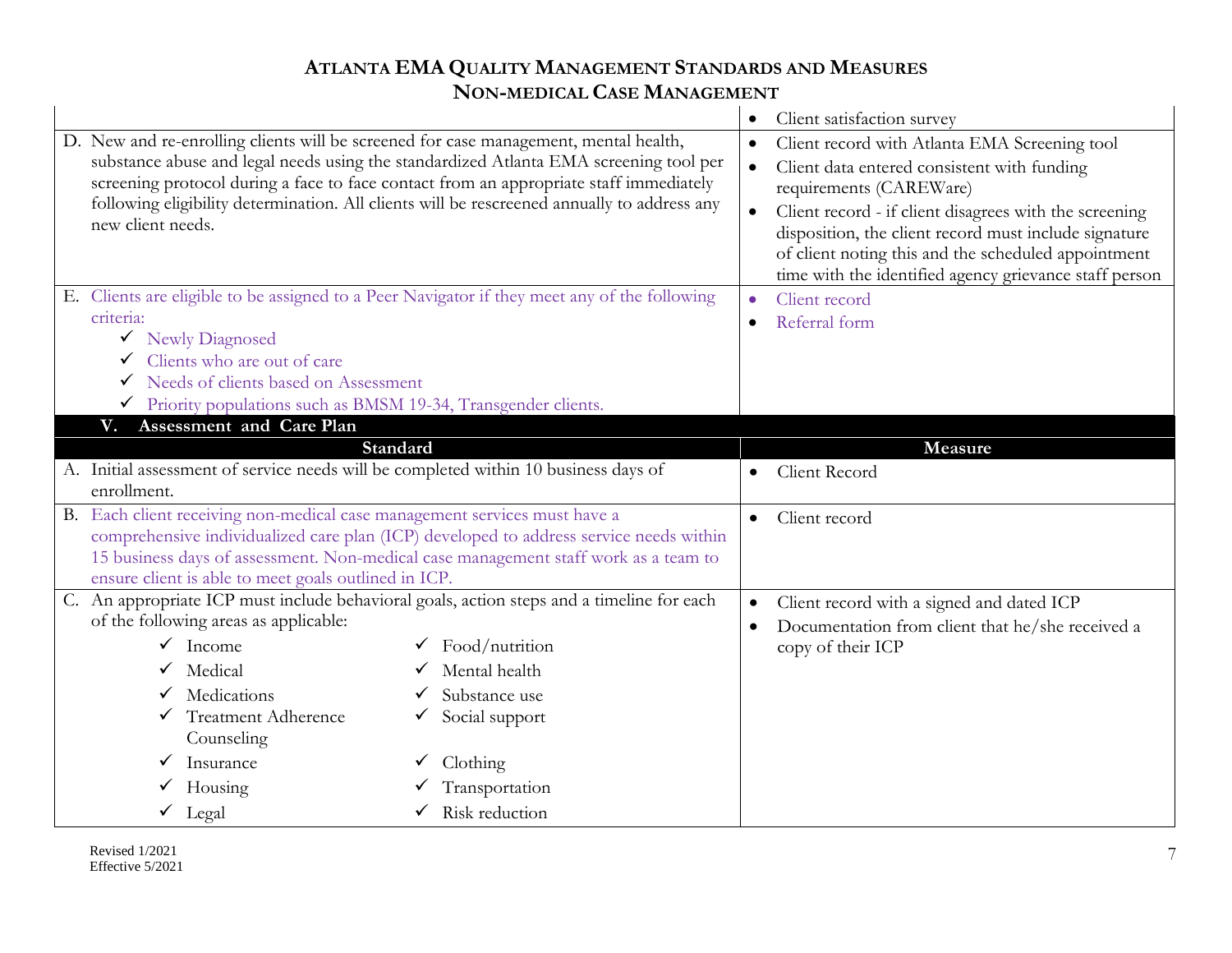|                                                                                                                                                                                                                                                                                                                                                                                                                                                                                                                                                                                                           |                                                           |                        | Client satisfaction survey                                                                                                                                                                                                                                                                                                                                                                    |
|-----------------------------------------------------------------------------------------------------------------------------------------------------------------------------------------------------------------------------------------------------------------------------------------------------------------------------------------------------------------------------------------------------------------------------------------------------------------------------------------------------------------------------------------------------------------------------------------------------------|-----------------------------------------------------------|------------------------|-----------------------------------------------------------------------------------------------------------------------------------------------------------------------------------------------------------------------------------------------------------------------------------------------------------------------------------------------------------------------------------------------|
| D. New and re-enrolling clients will be screened for case management, mental health,<br>substance abuse and legal needs using the standardized Atlanta EMA screening tool per<br>screening protocol during a face to face contact from an appropriate staff immediately<br>following eligibility determination. All clients will be rescreened annually to address any<br>new client needs.<br>E. Clients are eligible to be assigned to a Peer Navigator if they meet any of the following<br>criteria:<br>V Newly Diagnosed<br>Clients who are out of care<br>Needs of clients based on Assessment<br>✓ |                                                           | $\bullet$<br>$\bullet$ | Client record with Atlanta EMA Screening tool<br>Client data entered consistent with funding<br>requirements (CAREWare)<br>Client record - if client disagrees with the screening<br>disposition, the client record must include signature<br>of client noting this and the scheduled appointment<br>time with the identified agency grievance staff person<br>Client record<br>Referral form |
| Priority populations such as BMSM 19-34, Transgender clients.<br>Assessment and Care Plan<br>V.                                                                                                                                                                                                                                                                                                                                                                                                                                                                                                           |                                                           |                        |                                                                                                                                                                                                                                                                                                                                                                                               |
| Standard                                                                                                                                                                                                                                                                                                                                                                                                                                                                                                                                                                                                  |                                                           |                        | Measure                                                                                                                                                                                                                                                                                                                                                                                       |
| A. Initial assessment of service needs will be completed within 10 business days of<br>enrollment.                                                                                                                                                                                                                                                                                                                                                                                                                                                                                                        |                                                           |                        | Client Record                                                                                                                                                                                                                                                                                                                                                                                 |
| B. Each client receiving non-medical case management services must have a<br>comprehensive individualized care plan (ICP) developed to address service needs within<br>15 business days of assessment. Non-medical case management staff work as a team to<br>ensure client is able to meet goals outlined in ICP.                                                                                                                                                                                                                                                                                        |                                                           | $\bullet$              | Client record                                                                                                                                                                                                                                                                                                                                                                                 |
| C. An appropriate ICP must include behavioral goals, action steps and a timeline for each<br>of the following areas as applicable:<br>$\checkmark$ Income<br>Medical                                                                                                                                                                                                                                                                                                                                                                                                                                      | $\checkmark$ Food/nutrition<br>$\checkmark$ Mental health | $\bullet$<br>$\bullet$ | Client record with a signed and dated ICP<br>Documentation from client that he/she received a<br>copy of their ICP                                                                                                                                                                                                                                                                            |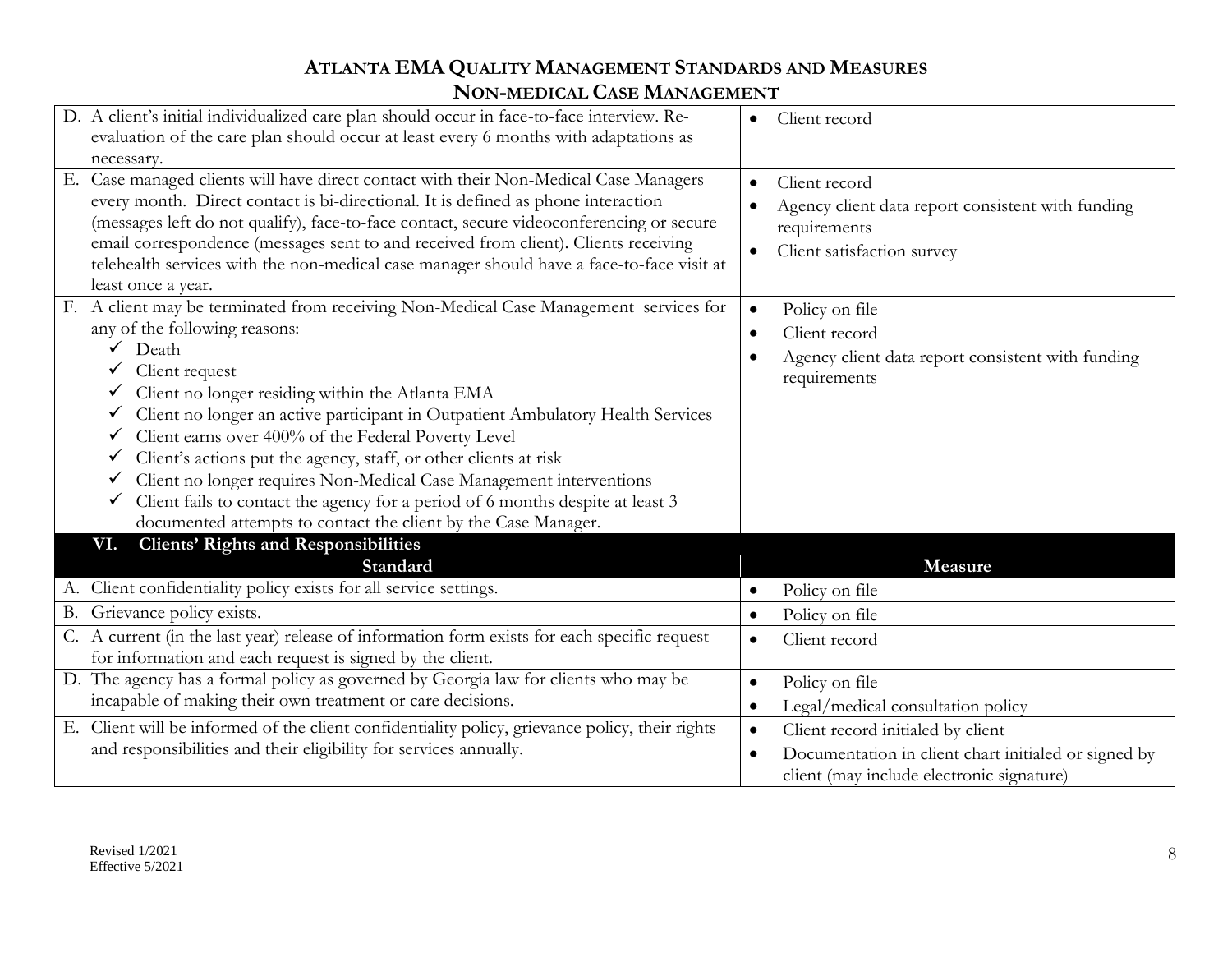| D. A client's initial individualized care plan should occur in face-to-face interview. Re-<br>evaluation of the care plan should occur at least every 6 months with adaptations as<br>necessary.                                                                                                                                                                                                                                                                                                                                                                                                                                                    | Client record                                                                                                                                                    |
|-----------------------------------------------------------------------------------------------------------------------------------------------------------------------------------------------------------------------------------------------------------------------------------------------------------------------------------------------------------------------------------------------------------------------------------------------------------------------------------------------------------------------------------------------------------------------------------------------------------------------------------------------------|------------------------------------------------------------------------------------------------------------------------------------------------------------------|
| Case managed clients will have direct contact with their Non-Medical Case Managers<br>Е.<br>every month. Direct contact is bi-directional. It is defined as phone interaction<br>(messages left do not qualify), face-to-face contact, secure videoconferencing or secure<br>email correspondence (messages sent to and received from client). Clients receiving<br>telehealth services with the non-medical case manager should have a face-to-face visit at<br>least once a year.                                                                                                                                                                 | Client record<br>Agency client data report consistent with funding<br>requirements<br>Client satisfaction survey                                                 |
| F. A client may be terminated from receiving Non-Medical Case Management services for<br>any of the following reasons:<br>Death<br>Client request<br>Client no longer residing within the Atlanta EMA<br>Client no longer an active participant in Outpatient Ambulatory Health Services<br>Client earns over 400% of the Federal Poverty Level<br>✓<br>Client's actions put the agency, staff, or other clients at risk<br>Client no longer requires Non-Medical Case Management interventions<br>Client fails to contact the agency for a period of 6 months despite at least 3<br>documented attempts to contact the client by the Case Manager. | Policy on file<br>$\bullet$<br>Client record<br>Agency client data report consistent with funding<br>requirements                                                |
| <b>Clients' Rights and Responsibilities</b><br>VI.<br>Standard                                                                                                                                                                                                                                                                                                                                                                                                                                                                                                                                                                                      | Measure                                                                                                                                                          |
| A. Client confidentiality policy exists for all service settings.                                                                                                                                                                                                                                                                                                                                                                                                                                                                                                                                                                                   | Policy on file<br>$\bullet$                                                                                                                                      |
| B. Grievance policy exists.                                                                                                                                                                                                                                                                                                                                                                                                                                                                                                                                                                                                                         | Policy on file<br>$\bullet$                                                                                                                                      |
| C. A current (in the last year) release of information form exists for each specific request<br>for information and each request is signed by the client.                                                                                                                                                                                                                                                                                                                                                                                                                                                                                           | Client record<br>$\bullet$                                                                                                                                       |
| D. The agency has a formal policy as governed by Georgia law for clients who may be                                                                                                                                                                                                                                                                                                                                                                                                                                                                                                                                                                 | Policy on file<br>$\bullet$                                                                                                                                      |
| incapable of making their own treatment or care decisions.                                                                                                                                                                                                                                                                                                                                                                                                                                                                                                                                                                                          | Legal/medical consultation policy<br>$\bullet$                                                                                                                   |
| E. Client will be informed of the client confidentiality policy, grievance policy, their rights<br>and responsibilities and their eligibility for services annually.                                                                                                                                                                                                                                                                                                                                                                                                                                                                                | Client record initialed by client<br>$\bullet$<br>Documentation in client chart initialed or signed by<br>$\bullet$<br>client (may include electronic signature) |